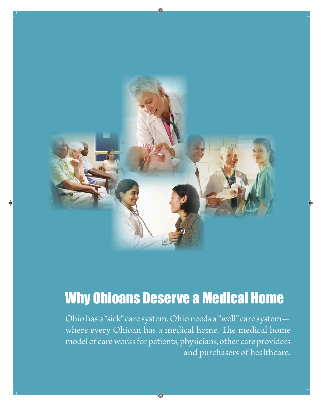

# Why Ohioans Deserve a Medical Home

Ohio has a "sick" care system. Ohio needs a "well" care system where every Ohioan has a medical home. The medical home model of care works for patients, physicians, other care providers and purchasers of healthcare.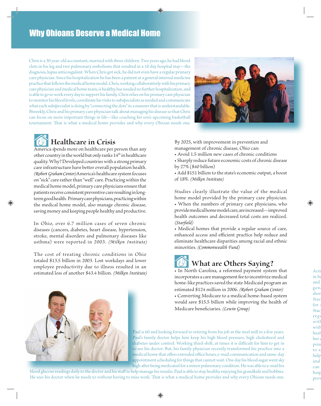Chris is a 30 year-old accountant, married with three children. Two years ago, he had blood clots in his leg and two pulmonary embolisms that resulted in a 10 day hospital stay—the diagnosis, lupus anticoagulant. When Chris got sick, he did not even have a regular primary care physician. Since his hospitalization he has been a patient at a general internal medicine practice that follows the medical home model. Chris, working collaboratively with his primary care physician and medical home team, is healthy, has needed no further hospitalization, and is able to go to work every day to support his family. Chris relies on his primary care physician to monitor his blood levels, coordinate his visits to subspecialists as needed and communicate what each subspecialist is doing by "connecting the dots" in a manner that is understandable. Biweekly, Chris and his primary care physician talk about managing his disease so that Chris can focus on more important things in life—like coaching his son's upcoming basketball tournament. That is what a medical home provides and why every Ohioan needs one.



#### **Healthcare in Crisis**

America spends more on healthcare per person than any other country in the world but only ranks  $14<sup>th</sup>$  in healthcare quality. Why? Developed countries with a strong primary care infrastructure have better overall population health. *(Robert Graham Center)* America's healthcare system focuses on "sick" care rather than "well" care. Practicing within the medical home model, primary care physicians ensure that patients receive consistent preventive care resulting in longterm good health. Primary care physicians, practicing within the medical home model, also manage chronic disease, saving money and keeping people healthy and productive.

In Ohio, over 6.7 million cases of seven chronic diseases (cancers, diabetes, heart disease, hypertension, stroke, mental disorders and pulmonary diseases like asthma) were reported in 2003. *(Milken Institute)*

The cost of treating chronic conditions in Ohio totaled \$13.5 billion in 2003. Lost workdays and lower employee productivity due to illness resulted in an estimated loss of another \$43.4 billion. *(Milken Institute)* By 2025, with improvement in prevention and management of chronic disease, Ohio can:

- Avoid 1.5 million new cases of chronic conditions
- Sharply reduce future economic costs of chronic disease by 27% (\$40 billion)
- Add \$151 billion to the state's economic output, a boost of 18%. *(Milken Institute)*

Studies clearly illustrate the value of the medical home model provided by the primary care physician. • When the numbers of primary care physicians, who provide medical home model care, are increased—improved health outcomes and decreased total costs are realized. *(Starfield)*

• Medical homes that provide a regular source of care, enhanced access and efficient practice help reduce and eliminate healthcare disparities among racial and ethnic minorities. *(Commonwealth Fund)*

# **What are Others Saying?**

• In North Carolina, a reformed payment system that incorporates a care management fee to incentivize medical home-like practices saved the state Medicaid program an estimated \$124 million in 2006. *(Robert Graham Center)* • Converting Medicare to a medical home-based system would save \$15.5 billion while improving the health of Medicare beneficiaries. *(Lewin Group)*



Paul is 60 and looking forward to retiring from his job at the steel mill in a few years. Paul's family doctor helps him keep his high blood pressure, high cholesterol and diabetes under control. Working third-shift, at times it is difficult for him to get in to see his doctor. But, his family physician recently transformed his practice into a medical home that offers extended office hours, e-mail communication and same-day appointment scheduling for things that cannot wait. One day his blood sugar went sky high after being medicated for a minor pulmonary condition. He was able to e-mail his

blood glucose readings daily to the doctor and his staff to help manage his insulin. Paul is able to stay healthy enjoying his grandkids and hobbies. He sees his doctor when he needs to without having to miss work. That is what a medical home provides and why every Ohioan needs one.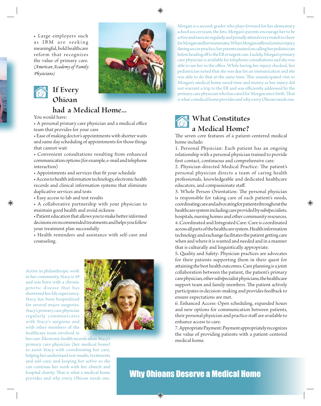• Large employers such as IBM are seeking meaningful, bold healthcare reform that recognizes the value of primary care. *(American Academy of Family Physicians)*



## **If Every Ohioan**

#### **had a Medical Home...**

You would have:

• A personal primary care physician and a medical office team that provides for your care

• Ease of making doctor's appointments with shorter waits and same day scheduling of appointments for those things that cannot wait

• Convenient consultations resulting from enhanced communication options (for example, e-mail and telephone interaction)

• Appointments and services that fit your schedule

• Access to health information technology, electronic health records and clinical information systems that eliminate duplicative services and tests

• Easy access to lab and test results

• A collaborative partnership with your physician to maintain good health and avoid sickness

• Patient education that allows you to make better informed decisions on recommended treatments and helps you follow your treatment plan successfully

• Health reminders and assistance with self-care and counseling.

Active in philanthropic work in her community, Stacy is 49 and was born with a chronic genetic disease that has shortened her life expectancy. Stacy has been hospitalized for several major surgeries. Stacy's primary care physician regularly communicates with Stacy's surgeons and with other members of the healthcare team involved in

her care. Electronic health records allow Stacy's primary care physician (her medical home) to assist Stacy with coordinating her care, helping her understand test results, treatments and self-care, and keeping her active so she can continue her work with her church and hospital charity. That is what a medical home provides and why every Ohioan needs one.



Morgan is a second-grader who plays forward for her elementary school soccer team, the Jets. Morgan's parents encourage her to be active and exercise regularly and proudly attend every match to cheer for Morgan and her teammates. When Morgan suffered a minor injury during soccer practice, her parents insisted on calling her pediatrician before heading off to the ER or urgent care. Luckily, Morgan's primary care physician is available for telephone consultations and she was able to see her in the office. While having her injury checked, her pediatrician noted that she was due for an immunization and she was able to do that at the same time. This unanticipated visit to Morgan's medical home saved time and money as her injury did not warrant a trip to the ER and was efficiently addressed by the primary care physician who has cared for Morgan since birth. That is what a medical home provides and why every Ohioan needs one.



### **What Constitutes a Medical Home?**

The seven core features of a patient-centered medical home include:

1. Personal Physician: Each patient has an ongoing relationship with a personal physician trained to provide first contact, continuous and comprehensive care.

2. Physician-directed Medical Practice: The patient's personal physician directs a team of caring health professionals, knowledgeable and dedicated healthcare educators, and compassionate staff.

3. Whole Person Orientation: The personal physician is responsible for taking care of each patient's needs, coordinating care and advocating for patients throughout the healthcare system including care provided by subspecialists, hospitals, nursing homes and other community resources. 4. Coordinated and Integrated Care: Care is coordinated across all parts of the healthcare system. Health information technology and exchange facilitates the patient getting care when and where it is wanted and needed and in a manner that is culturally and linguistically appropriate.

5. Quality and Safety: Physician practices are advocates for their patients supporting them in their quest for attaining the best health outcomes. Care planning is a joint collaboration between the patient, the patient's primary care physician, other subspecialist physicians, the healthcare support team and family members. The patient actively participates in decision-making and provides feedback to ensure expectations are met.

6. Enhanced Access: Open scheduling, expanded hours and new options for communication between patients, their personal physician and practice staff are available to enhance access to care.

7. Appropriate Payment: Payment appropriately recognizes the value of providing patients with a patient-centered medical home.

### Why Ohioans Deserve a Medical Home